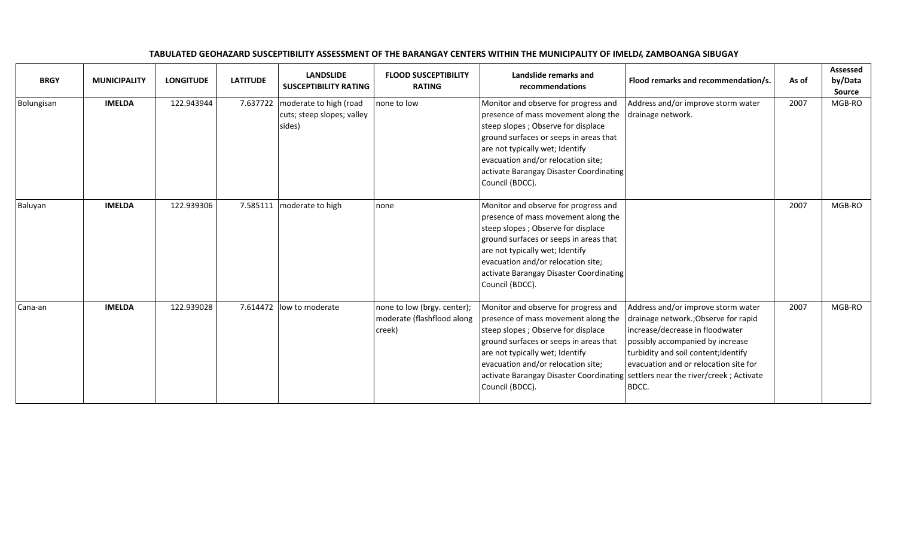| <b>BRGY</b> | <b>MUNICIPALITY</b> | <b>LONGITUDE</b> | <b>LATITUDE</b> | <b>LANDSLIDE</b><br><b>SUSCEPTIBILITY RATING</b>               | <b>FLOOD SUSCEPTIBILITY</b><br><b>RATING</b>                        | Landslide remarks and<br>recommendations                                                                                                                                                                                                                                                                                                   | Flood remarks and recommendation/s.                                                                                                                                                                                                          | As of | <b>Assessed</b><br>by/Data<br><b>Source</b> |
|-------------|---------------------|------------------|-----------------|----------------------------------------------------------------|---------------------------------------------------------------------|--------------------------------------------------------------------------------------------------------------------------------------------------------------------------------------------------------------------------------------------------------------------------------------------------------------------------------------------|----------------------------------------------------------------------------------------------------------------------------------------------------------------------------------------------------------------------------------------------|-------|---------------------------------------------|
| Bolungisan  | <b>IMELDA</b>       | 122.943944       | 7.637722        | moderate to high (road<br>cuts; steep slopes; valley<br>sides) | none to low                                                         | Monitor and observe for progress and<br>presence of mass movement along the<br>steep slopes; Observe for displace<br>ground surfaces or seeps in areas that<br>are not typically wet; Identify<br>evacuation and/or relocation site;<br>activate Barangay Disaster Coordinating<br>Council (BDCC).                                         | Address and/or improve storm water<br>drainage network.                                                                                                                                                                                      | 2007  | MGB-RO                                      |
| Baluyan     | <b>IMELDA</b>       | 122.939306       | 7.585111        | moderate to high                                               | none                                                                | Monitor and observe for progress and<br>presence of mass movement along the<br>steep slopes; Observe for displace<br>ground surfaces or seeps in areas that<br>are not typically wet; Identify<br>evacuation and/or relocation site;<br>activate Barangay Disaster Coordinating<br>Council (BDCC).                                         |                                                                                                                                                                                                                                              | 2007  | MGB-RO                                      |
| Cana-an     | <b>IMELDA</b>       | 122.939028       | 7.614472        | low to moderate                                                | none to low (brgy. center);<br>moderate (flashflood along<br>creek) | Monitor and observe for progress and<br>presence of mass movement along the<br>steep slopes; Observe for displace<br>ground surfaces or seeps in areas that<br>are not typically wet; Identify<br>evacuation and/or relocation site;<br>activate Barangay Disaster Coordinating settlers near the river/creek; Activate<br>Council (BDCC). | Address and/or improve storm water<br>drainage network.; Observe for rapid<br>increase/decrease in floodwater<br>possibly accompanied by increase<br>turbidity and soil content; Identify<br>levacuation and or relocation site for<br>BDCC. | 2007  | MGB-RO                                      |

## TABULATED GEOHAZARD SUSCEPTIBILITY ASSESSMENT OF THE BARANGAY CENTERS WITHIN THE MUNICIPALITY OF IMELDI, ZAMBOANGA SIBUGAY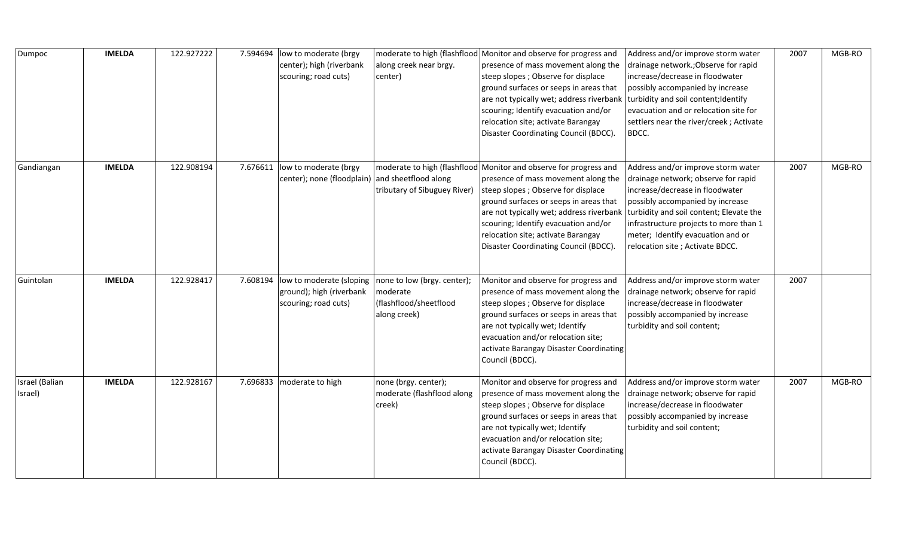| Dumpoc                    | <b>IMELDA</b> | 122.927222 | 7.594694 | low to moderate (brgy<br>center); high (riverbank<br>scouring; road cuts)              | along creek near brgy.<br>center)                                                 | moderate to high (flashflood Monitor and observe for progress and<br>presence of mass movement along the<br>steep slopes; Observe for displace<br>ground surfaces or seeps in areas that<br>are not typically wet; address riverbank<br>scouring; Identify evacuation and/or<br>relocation site; activate Barangay<br>Disaster Coordinating Council (BDCC).                                         | Address and/or improve storm water<br>drainage network.; Observe for rapid<br>increase/decrease in floodwater<br>possibly accompanied by increase<br>turbidity and soil content; Identify<br>evacuation and or relocation site for<br>settlers near the river/creek; Activate<br>BDCC. | 2007 | MGB-RO |
|---------------------------|---------------|------------|----------|----------------------------------------------------------------------------------------|-----------------------------------------------------------------------------------|-----------------------------------------------------------------------------------------------------------------------------------------------------------------------------------------------------------------------------------------------------------------------------------------------------------------------------------------------------------------------------------------------------|----------------------------------------------------------------------------------------------------------------------------------------------------------------------------------------------------------------------------------------------------------------------------------------|------|--------|
| Gandiangan                | <b>IMELDA</b> | 122.908194 | 7.676611 | low to moderate (brgy<br>center); none (floodplain)                                    | and sheetflood along<br>tributary of Sibuguey River)                              | moderate to high (flashflood Monitor and observe for progress and<br>presence of mass movement along the<br>steep slopes; Observe for displace<br>ground surfaces or seeps in areas that<br>are not typically wet; address riverbank turbidity and soil content; Elevate the<br>scouring; Identify evacuation and/or<br>relocation site; activate Barangay<br>Disaster Coordinating Council (BDCC). | Address and/or improve storm water<br>drainage network; observe for rapid<br>increase/decrease in floodwater<br>possibly accompanied by increase<br>infrastructure projects to more than 1<br>meter; Identify evacuation and or<br>relocation site ; Activate BDCC.                    | 2007 | MGB-RO |
| Guintolan                 | <b>IMELDA</b> | 122.928417 |          | 7.608194  low to moderate (sloping<br>ground); high (riverbank<br>scouring; road cuts) | none to low (brgy. center);<br>moderate<br>(flashflood/sheetflood<br>along creek) | Monitor and observe for progress and<br>presence of mass movement along the<br>steep slopes; Observe for displace<br>ground surfaces or seeps in areas that<br>are not typically wet; Identify<br>evacuation and/or relocation site;<br>activate Barangay Disaster Coordinating<br>Council (BDCC).                                                                                                  | Address and/or improve storm water<br>drainage network; observe for rapid<br>increase/decrease in floodwater<br>possibly accompanied by increase<br>turbidity and soil content;                                                                                                        | 2007 |        |
| Israel (Balian<br>Israel) | <b>IMELDA</b> | 122.928167 | 7.696833 | moderate to high                                                                       | none (brgy. center);<br>moderate (flashflood along<br>creek)                      | Monitor and observe for progress and<br>presence of mass movement along the<br>steep slopes; Observe for displace<br>ground surfaces or seeps in areas that<br>are not typically wet; Identify<br>evacuation and/or relocation site;<br>activate Barangay Disaster Coordinating<br>Council (BDCC).                                                                                                  | Address and/or improve storm water<br>drainage network; observe for rapid<br>increase/decrease in floodwater<br>possibly accompanied by increase<br>turbidity and soil content;                                                                                                        | 2007 | MGB-RO |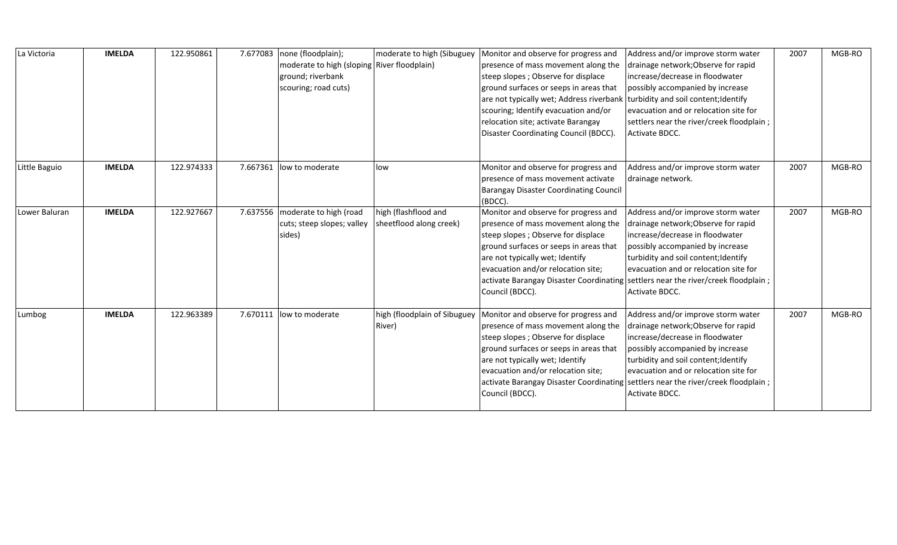| La Victoria   | <b>IMELDA</b> | 122.950861 | 7.677083 | none (floodplain);<br>moderate to high (sloping River floodplain)<br>ground; riverbank<br>scouring; road cuts) | moderate to high (Sibuguey                      | Monitor and observe for progress and<br>presence of mass movement along the<br>steep slopes; Observe for displace<br>ground surfaces or seeps in areas that<br>are not typically wet; Address riverbank<br>scouring; Identify evacuation and/or<br>relocation site; activate Barangay<br>Disaster Coordinating Council (BDCC). | Address and/or improve storm water<br>drainage network; Observe for rapid<br>increase/decrease in floodwater<br>possibly accompanied by increase<br>turbidity and soil content; Identify<br>evacuation and or relocation site for<br>settlers near the river/creek floodplain;<br>Activate BDCC.                                         | 2007 | MGB-RO |
|---------------|---------------|------------|----------|----------------------------------------------------------------------------------------------------------------|-------------------------------------------------|--------------------------------------------------------------------------------------------------------------------------------------------------------------------------------------------------------------------------------------------------------------------------------------------------------------------------------|------------------------------------------------------------------------------------------------------------------------------------------------------------------------------------------------------------------------------------------------------------------------------------------------------------------------------------------|------|--------|
| Little Baguio | <b>IMELDA</b> | 122.974333 | 7.667361 | low to moderate                                                                                                | low                                             | Monitor and observe for progress and<br>presence of mass movement activate<br><b>Barangay Disaster Coordinating Council</b><br>(BDCC).                                                                                                                                                                                         | Address and/or improve storm water<br>drainage network.                                                                                                                                                                                                                                                                                  | 2007 | MGB-RO |
| Lower Baluran | <b>IMELDA</b> | 122.927667 | 7.637556 | moderate to high (road<br>cuts; steep slopes; valley<br>sides)                                                 | high (flashflood and<br>sheetflood along creek) | Monitor and observe for progress and<br>presence of mass movement along the<br>steep slopes; Observe for displace<br>ground surfaces or seeps in areas that<br>are not typically wet; Identify<br>evacuation and/or relocation site;<br>Council (BDCC).                                                                        | Address and/or improve storm water<br>drainage network; Observe for rapid<br>increase/decrease in floodwater<br>possibly accompanied by increase<br>turbidity and soil content; Identify<br>evacuation and or relocation site for<br>activate Barangay Disaster Coordinating settlers near the river/creek floodplain;<br>Activate BDCC. | 2007 | MGB-RO |
| Lumbog        | <b>IMELDA</b> | 122.963389 | 7.670111 | low to moderate                                                                                                | high (floodplain of Sibuguey<br>River)          | Monitor and observe for progress and<br>presence of mass movement along the<br>steep slopes; Observe for displace<br>ground surfaces or seeps in areas that<br>are not typically wet; Identify<br>evacuation and/or relocation site;<br>Council (BDCC).                                                                        | Address and/or improve storm water<br>drainage network; Observe for rapid<br>increase/decrease in floodwater<br>possibly accompanied by increase<br>turbidity and soil content; Identify<br>evacuation and or relocation site for<br>activate Barangay Disaster Coordinating settlers near the river/creek floodplain;<br>Activate BDCC. | 2007 | MGB-RO |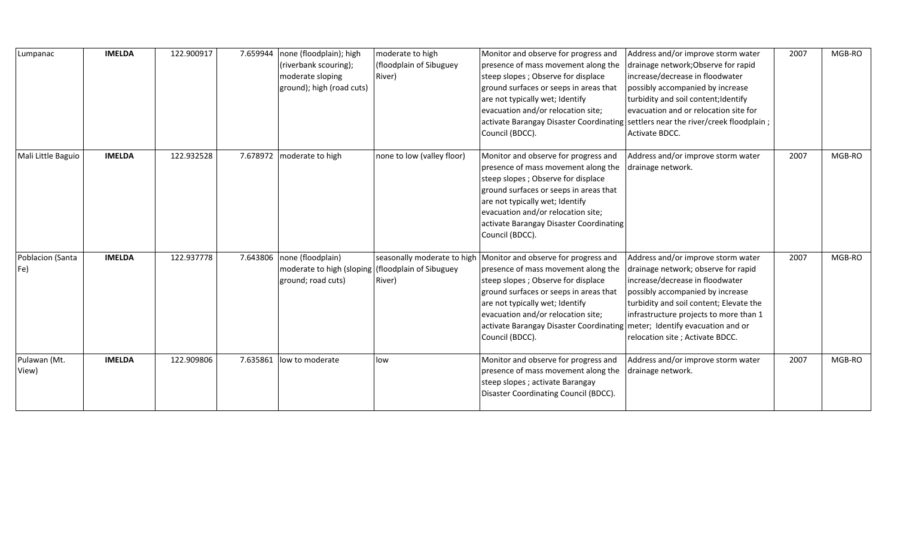| Lumpanac                | <b>IMELDA</b> | 122.900917 | 7.659944 | none (floodplain); high<br>(riverbank scouring);<br>moderate sloping<br>ground); high (road cuts) | moderate to high<br>(floodplain of Sibuguey<br>River)            | Monitor and observe for progress and<br>presence of mass movement along the<br>steep slopes; Observe for displace<br>ground surfaces or seeps in areas that<br>are not typically wet; Identify<br>evacuation and/or relocation site;<br>Council (BDCC).                                                                              | Address and/or improve storm water<br>drainage network; Observe for rapid<br>increase/decrease in floodwater<br>possibly accompanied by increase<br>turbidity and soil content; Identify<br>evacuation and or relocation site for<br>activate Barangay Disaster Coordinating settlers near the river/creek floodplain;<br>Activate BDCC. | 2007 | MGB-RO |
|-------------------------|---------------|------------|----------|---------------------------------------------------------------------------------------------------|------------------------------------------------------------------|--------------------------------------------------------------------------------------------------------------------------------------------------------------------------------------------------------------------------------------------------------------------------------------------------------------------------------------|------------------------------------------------------------------------------------------------------------------------------------------------------------------------------------------------------------------------------------------------------------------------------------------------------------------------------------------|------|--------|
| Mali Little Baguio      | <b>IMELDA</b> | 122.932528 | 7.678972 | moderate to high                                                                                  | none to low (valley floor)                                       | Monitor and observe for progress and<br>presence of mass movement along the<br>steep slopes; Observe for displace<br>ground surfaces or seeps in areas that<br>are not typically wet; Identify<br>evacuation and/or relocation site;<br>activate Barangay Disaster Coordinating<br>Council (BDCC).                                   | Address and/or improve storm water<br>drainage network.                                                                                                                                                                                                                                                                                  | 2007 | MGB-RO |
| Poblacion (Santa<br>Fe) | <b>IMELDA</b> | 122.937778 | 7.643806 | none (floodplain)<br>moderate to high (sloping<br>ground; road cuts)                              | seasonally moderate to high<br>(floodplain of Sibuguey<br>River) | Monitor and observe for progress and<br>presence of mass movement along the<br>steep slopes; Observe for displace<br>ground surfaces or seeps in areas that<br>are not typically wet; Identify<br>evacuation and/or relocation site;<br>activate Barangay Disaster Coordinating meter; Identify evacuation and or<br>Council (BDCC). | Address and/or improve storm water<br>drainage network; observe for rapid<br>increase/decrease in floodwater<br>possibly accompanied by increase<br>turbidity and soil content; Elevate the<br>infrastructure projects to more than 1<br>relocation site; Activate BDCC.                                                                 | 2007 | MGB-RO |
| Pulawan (Mt.<br>View)   | <b>IMELDA</b> | 122.909806 | 7.635861 | low to moderate                                                                                   | low                                                              | Monitor and observe for progress and<br>presence of mass movement along the<br>steep slopes; activate Barangay<br>Disaster Coordinating Council (BDCC).                                                                                                                                                                              | Address and/or improve storm water<br>drainage network.                                                                                                                                                                                                                                                                                  | 2007 | MGB-RO |